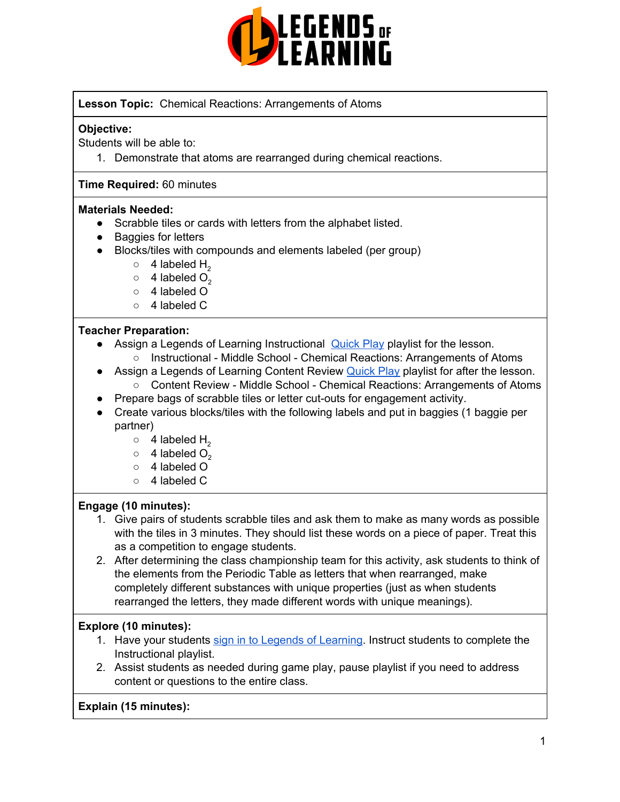

### **Lesson Topic:** Chemical Reactions: Arrangements of Atoms

#### **Objective:**

Students will be able to:

1. Demonstrate that atoms are rearranged during chemical reactions.

#### **Time Required:** 60 minutes

#### **Materials Needed:**

- Scrabble tiles or cards with letters from the alphabet listed.
- Baggies for letters
- Blocks/tiles with compounds and elements labeled (per group)
	- $\circ$  4 labeled H<sub>2</sub>
	- $\circ$  4 labeled  $O_2$
	- 4 labeled O
	- 4 labeled C

#### **Teacher Preparation:**

- Assign a Legends of Learning Instructional [Quick](https://intercom.help/legends-of-learning/en/articles/2701866-assigning-a-quick-play-playlist) Play playlist for the lesson.
	- Instructional Middle School Chemical Reactions: Arrangements of Atoms
- Assign a Legends of Learning Content Review [Quick](https://intercom.help/legends-of-learning/en/articles/2701866-assigning-a-quick-play-playlist) Play playlist for after the lesson. ○ Content Review - Middle School - Chemical Reactions: Arrangements of Atoms
- Prepare bags of scrabble tiles or letter cut-outs for engagement activity.
- Create various blocks/tiles with the following labels and put in baggies (1 baggie per partner)
	- $\circ$  4 labeled H<sub>2</sub>
	- $\circ$  4 labeled  $O_2$
	- 4 labeled O
	- 4 labeled C

#### **Engage (10 minutes):**

- 1. Give pairs of students scrabble tiles and ask them to make as many words as possible with the tiles in 3 minutes. They should list these words on a piece of paper. Treat this as a competition to engage students.
- 2. After determining the class championship team for this activity, ask students to think of the elements from the Periodic Table as letters that when rearranged, make completely different substances with unique properties (just as when students rearranged the letters, they made different words with unique meanings).

## **Explore (10 minutes):**

- 1. Have your students sign in to Legends of [Learning](https://intercom.help/legends-of-learning/en/articles/2154920-students-joining-a-playlist). Instruct students to complete the Instructional playlist.
- 2. Assist students as needed during game play, pause playlist if you need to address content or questions to the entire class.

## **Explain (15 minutes):**